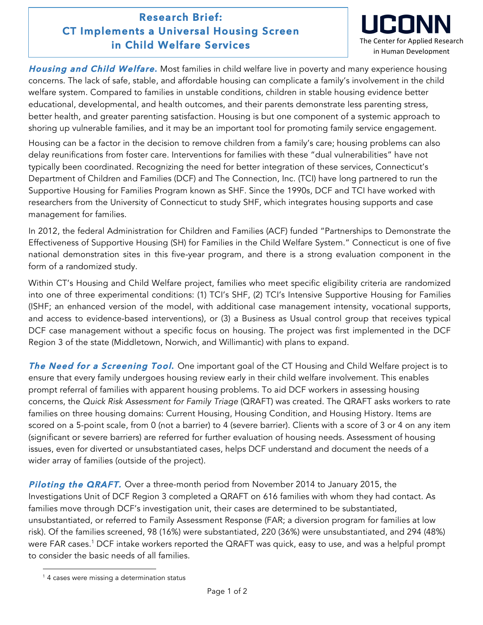## **Research Brief: CT Implements a Universal Housing Screen in Child Welfare Services**



**Housing and Child Welfare.** Most families in child welfare live in poverty and many experience housing concerns. The lack of safe, stable, and affordable housing can complicate a family's involvement in the child welfare system. Compared to families in unstable conditions, children in stable housing evidence better educational, developmental, and health outcomes, and their parents demonstrate less parenting stress, better health, and greater parenting satisfaction. Housing is but one component of a systemic approach to shoring up vulnerable families, and it may be an important tool for promoting family service engagement.

Housing can be a factor in the decision to remove children from a family's care; housing problems can also delay reunifications from foster care. Interventions for families with these "dual vulnerabilities" have not typically been coordinated. Recognizing the need for better integration of these services, Connecticut's Department of Children and Families (DCF) and The Connection, Inc. (TCI) have long partnered to run the Supportive Housing for Families Program known as SHF. Since the 1990s, DCF and TCI have worked with researchers from the University of Connecticut to study SHF, which integrates housing supports and case management for families.

In 2012, the federal Administration for Children and Families (ACF) funded "Partnerships to Demonstrate the Effectiveness of Supportive Housing (SH) for Families in the Child Welfare System." Connecticut is one of five national demonstration sites in this five-year program, and there is a strong evaluation component in the form of a randomized study.

Within CT's Housing and Child Welfare project, families who meet specific eligibility criteria are randomized into one of three experimental conditions: (1) TCI's SHF, (2) TCI's Intensive Supportive Housing for Families (ISHF; an enhanced version of the model, with additional case management intensity, vocational supports, and access to evidence-based interventions), or (3) a Business as Usual control group that receives typical DCF case management without a specific focus on housing. The project was first implemented in the DCF Region 3 of the state (Middletown, Norwich, and Willimantic) with plans to expand.

**The Need for a Screening Tool.** One important goal of the CT Housing and Child Welfare project is to ensure that every family undergoes housing review early in their child welfare involvement. This enables prompt referral of families with apparent housing problems. To aid DCF workers in assessing housing concerns, the *Quick Risk Assessment for Family Triage* (QRAFT) was created. The QRAFT asks workers to rate families on three housing domains: Current Housing, Housing Condition, and Housing History. Items are scored on a 5-point scale, from 0 (not a barrier) to 4 (severe barrier). Clients with a score of 3 or 4 on any item (significant or severe barriers) are referred for further evaluation of housing needs. Assessment of housing issues, even for diverted or unsubstantiated cases, helps DCF understand and document the needs of a wider array of families (outside of the project).

**Piloting the QRAFT.** Over a three-month period from November 2014 to January 2015, the Investigations Unit of DCF Region 3 completed a QRAFT on 616 families with whom they had contact. As families move through DCF's investigation unit, their cases are determined to be substantiated, unsubstantiated, or referred to Family Assessment Response (FAR; a diversion program for families at low risk). Of the families screened, 98 (16%) were substantiated, 220 (36%) were unsubstantiated, and 294 (48%) were FAR cases.<sup>1</sup> DCF intake workers reported the QRAFT was quick, easy to use, and was a helpful prompt to consider the basic needs of all families.

 

 $<sup>1</sup>$  4 cases were missing a determination status</sup>